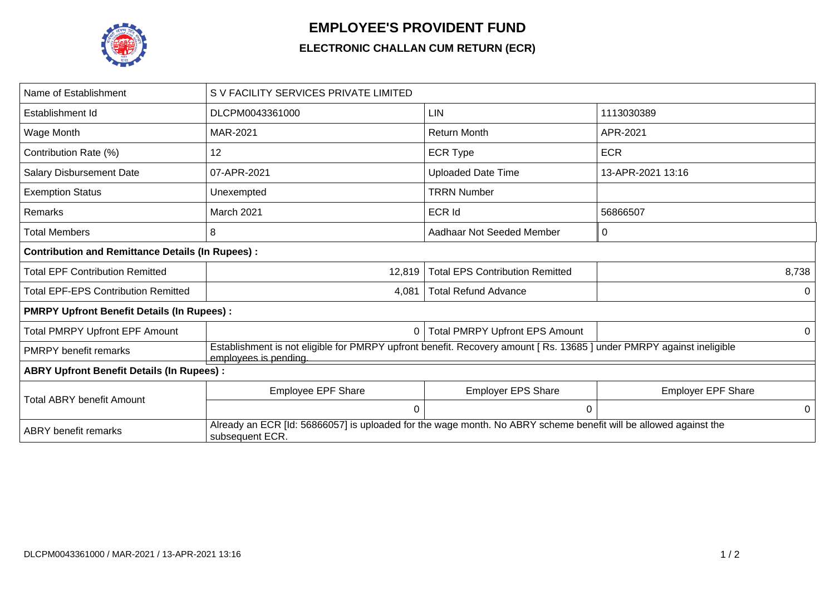

## **EMPLOYEE'S PROVIDENT FUND**

## **ELECTRONIC CHALLAN CUM RETURN (ECR)**

| Name of Establishment                                   | S V FACILITY SERVICES PRIVATE LIMITED                                                                                                        |                                        |                           |  |  |  |  |
|---------------------------------------------------------|----------------------------------------------------------------------------------------------------------------------------------------------|----------------------------------------|---------------------------|--|--|--|--|
| Establishment Id                                        | DLCPM0043361000                                                                                                                              | <b>LIN</b>                             | 1113030389                |  |  |  |  |
| Wage Month                                              | MAR-2021                                                                                                                                     | <b>Return Month</b><br>APR-2021        |                           |  |  |  |  |
| Contribution Rate (%)                                   | 12                                                                                                                                           | <b>ECR Type</b>                        | <b>ECR</b>                |  |  |  |  |
| <b>Salary Disbursement Date</b>                         | 07-APR-2021                                                                                                                                  | <b>Uploaded Date Time</b>              | 13-APR-2021 13:16         |  |  |  |  |
| <b>Exemption Status</b>                                 | Unexempted                                                                                                                                   | <b>TRRN Number</b>                     |                           |  |  |  |  |
| Remarks                                                 | March 2021                                                                                                                                   | <b>ECR Id</b>                          | 56866507                  |  |  |  |  |
| Total Members                                           | 8                                                                                                                                            | Aadhaar Not Seeded Member              | 0                         |  |  |  |  |
| <b>Contribution and Remittance Details (In Rupees):</b> |                                                                                                                                              |                                        |                           |  |  |  |  |
| <b>Total EPF Contribution Remitted</b>                  | 12,819                                                                                                                                       | <b>Total EPS Contribution Remitted</b> | 8,738                     |  |  |  |  |
| <b>Total EPF-EPS Contribution Remitted</b>              | 4,081                                                                                                                                        | <b>Total Refund Advance</b>            |                           |  |  |  |  |
| <b>PMRPY Upfront Benefit Details (In Rupees):</b>       |                                                                                                                                              |                                        |                           |  |  |  |  |
| <b>Total PMRPY Upfront EPF Amount</b>                   | 0                                                                                                                                            | <b>Total PMRPY Upfront EPS Amount</b>  | 0                         |  |  |  |  |
| <b>PMRPY</b> benefit remarks                            | Establishment is not eligible for PMRPY upfront benefit. Recovery amount [Rs. 13685] under PMRPY against ineligible<br>employees is pending. |                                        |                           |  |  |  |  |
| <b>ABRY Upfront Benefit Details (In Rupees):</b>        |                                                                                                                                              |                                        |                           |  |  |  |  |
| Total ABRY benefit Amount                               | <b>Employee EPF Share</b>                                                                                                                    | <b>Employer EPS Share</b>              | <b>Employer EPF Share</b> |  |  |  |  |
|                                                         | $\Omega$                                                                                                                                     | $\Omega$                               | 0                         |  |  |  |  |
| <b>ABRY</b> benefit remarks                             | Already an ECR [Id: 56866057] is uploaded for the wage month. No ABRY scheme benefit will be allowed against the<br>subsequent ECR.          |                                        |                           |  |  |  |  |